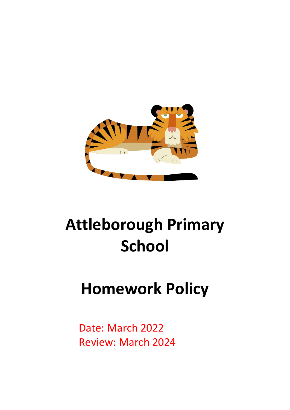

# **Attleborough Primary School**

# **Homework Policy**

Date: March 2022 Review: March 2024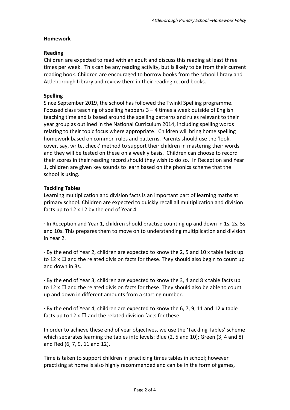# **Homework**

# **Reading**

Children are expected to read with an adult and discuss this reading at least three times per week. This can be any reading activity, but is likely to be from their current reading book. Children are encouraged to borrow books from the school library and Attleborough Library and review them in their reading record books.

# **Spelling**

Since September 2019, the school has followed the Twinkl Spelling programme. Focused class teaching of spelling happens  $3 - 4$  times a week outside of English teaching time and is based around the spelling patterns and rules relevant to their year group as outlined in the National Curriculum 2014, including spelling words relating to their topic focus where appropriate. Children will bring home spelling homework based on common rules and patterns. Parents should use the 'look, cover, say, write, check' method to support their children in mastering their words and they will be tested on these on a weekly basis. Children can choose to record their scores in their reading record should they wish to do so. In Reception and Year 1, children are given key sounds to learn based on the phonics scheme that the school is using.

# **Tackling Tables**

Learning multiplication and division facts is an important part of learning maths at primary school. Children are expected to quickly recall all multiplication and division facts up to 12 x 12 by the end of Year 4.

· In Reception and Year 1, children should practise counting up and down in 1s, 2s, 5s and 10s. This prepares them to move on to understanding multiplication and division in Year 2.

· By the end of Year 2, children are expected to know the 2, 5 and 10 x table facts up to 12 x  $\Box$  and the related division facts for these. They should also begin to count up and down in 3s.

· By the end of Year 3, children are expected to know the 3, 4 and 8 x table facts up to 12 x  $\Box$  and the related division facts for these. They should also be able to count up and down in different amounts from a starting number.

· By the end of Year 4, children are expected to know the 6, 7, 9, 11 and 12 x table facts up to 12 x  $\Box$  and the related division facts for these.

In order to achieve these end of year objectives, we use the 'Tackling Tables' scheme which separates learning the tables into levels: Blue (2, 5 and 10); Green (3, 4 and 8) and Red (6, 7, 9, 11 and 12).

Time is taken to support children in practicing times tables in school; however practising at home is also highly recommended and can be in the form of games,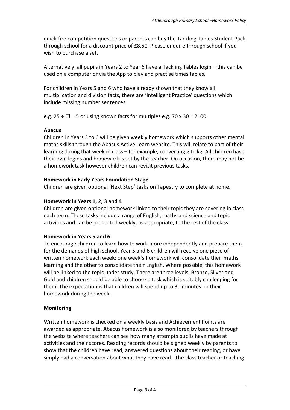quick-fire competition questions or parents can buy the Tackling Tables Student Pack through school for a discount price of £8.50. Please enquire through school if you wish to purchase a set.

Alternatively, all pupils in Years 2 to Year 6 have a Tackling Tables login – this can be used on a computer or via the App to play and practise times tables.

For children in Years 5 and 6 who have already shown that they know all multiplication and division facts, there are 'Intelligent Practice' questions which include missing number sentences

e.g.  $25 \div \Box = 5$  or using known facts for multiples e.g. 70 x 30 = 2100.

#### **Abacus**

Children in Years 3 to 6 will be given weekly homework which supports other mental maths skills through the Abacus Active Learn website. This will relate to part of their learning during that week in class – for example, converting g to kg. All children have their own logins and homework is set by the teacher. On occasion, there may not be a homework task however children can revisit previous tasks.

#### **Homework in Early Years Foundation Stage**

Children are given optional 'Next Step' tasks on Tapestry to complete at home.

#### **Homework in Years 1, 2, 3 and 4**

Children are given optional homework linked to their topic they are covering in class each term. These tasks include a range of English, maths and science and topic activities and can be presented weekly, as appropriate, to the rest of the class.

#### **Homework in Years 5 and 6**

To encourage children to learn how to work more independently and prepare them for the demands of high school, Year 5 and 6 children will receive one piece of written homework each week: one week's homework will consolidate their maths learning and the other to consolidate their English. Where possible, this homework will be linked to the topic under study. There are three levels: Bronze, Silver and Gold and children should be able to choose a task which is suitably challenging for them. The expectation is that children will spend up to 30 minutes on their homework during the week.

#### **Monitoring**

Written homework is checked on a weekly basis and Achievement Points are awarded as appropriate. Abacus homework is also monitored by teachers through the website where teachers can see how many attempts pupils have made at activities and their scores. Reading records should be signed weekly by parents to show that the children have read, answered questions about their reading, or have simply had a conversation about what they have read. The class teacher or teaching